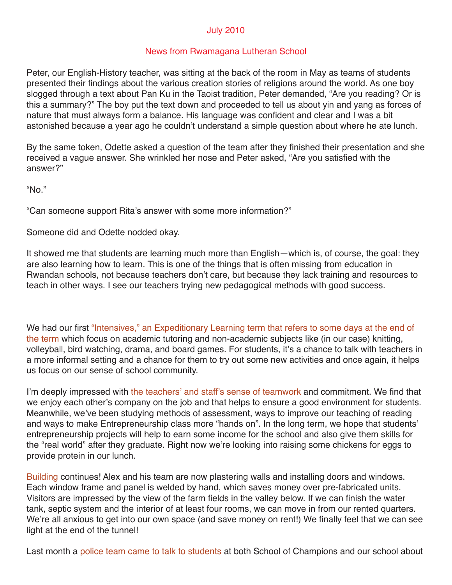## July 2010

## News from Rwamagana Lutheran School

Peter, our English-History teacher, was sitting at the back of the room in May as teams of students presented their findings about the various creation stories of religions around the world. As one boy slogged through a text about Pan Ku in the Taoist tradition, Peter demanded, "Are you reading? Or is this a summary?" The boy put the text down and proceeded to tell us about yin and yang as forces of nature that must always form a balance. His language was confident and clear and I was a bit astonished because a year ago he couldn't understand a simple question about where he ate lunch.

By the same token, Odette asked a question of the team after they finished their presentation and she received a vague answer. She wrinkled her nose and Peter asked, "Are you satisfied with the answer?"

"No."

"Can someone support Rita's answer with some more information?"

Someone did and Odette nodded okay.

It showed me that students are learning much more than English—which is, of course, the goal: they are also learning how to learn. This is one of the things that is often missing from education in Rwandan schools, not because teachers don't care, but because they lack training and resources to teach in other ways. I see our teachers trying new pedagogical methods with good success.

We had our first "Intensives," an Expeditionary Learning term that refers to some days at the end of the term which focus on academic tutoring and non-academic subjects like (in our case) knitting, volleyball, bird watching, drama, and board games. For students, it's a chance to talk with teachers in a more informal setting and a chance for them to try out some new activities and once again, it helps us focus on our sense of school community.

I'm deeply impressed with the teachers' and staff's sense of teamwork and commitment. We find that we enjoy each other's company on the job and that helps to ensure a good environment for students. Meanwhile, we've been studying methods of assessment, ways to improve our teaching of reading and ways to make Entrepreneurship class more "hands on". In the long term, we hope that students' entrepreneurship projects will help to earn some income for the school and also give them skills for the "real world" after they graduate. Right now we're looking into raising some chickens for eggs to provide protein in our lunch.

Building continues! Alex and his team are now plastering walls and installing doors and windows. Each window frame and panel is welded by hand, which saves money over pre-fabricated units. Visitors are impressed by the view of the farm fields in the valley below. If we can finish the water tank, septic system and the interior of at least four rooms, we can move in from our rented quarters. We're all anxious to get into our own space (and save money on rent!) We finally feel that we can see light at the end of the tunnel!

Last month a police team came to talk to students at both School of Champions and our school about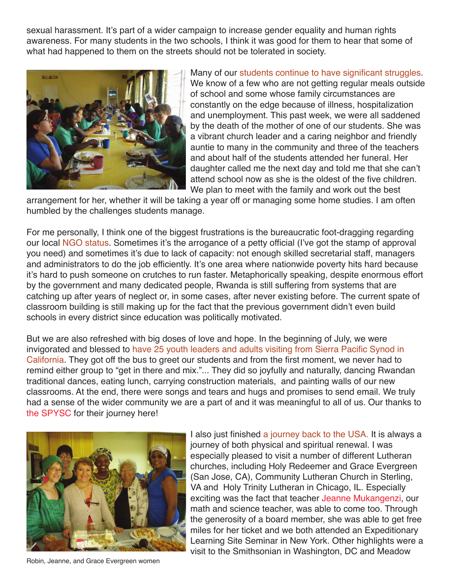sexual harassment. It's part of a wider campaign to increase gender equality and human rights awareness. For many students in the two schools, I think it was good for them to hear that some of what had happened to them on the streets should not be tolerated in society.



Many of our students continue to have significant struggles. We know of a few who are not getting regular meals outside of school and some whose family circumstances are constantly on the edge because of illness, hospitalization and unemployment. This past week, we were all saddened by the death of the mother of one of our students. She was a vibrant church leader and a caring neighbor and friendly auntie to many in the community and three of the teachers and about half of the students attended her funeral. Her daughter called me the next day and told me that she can't attend school now as she is the oldest of the five children. We plan to meet with the family and work out the best

arrangement for her, whether it will be taking a year off or managing some home studies. I am often humbled by the challenges students manage.

For me personally, I think one of the biggest frustrations is the bureaucratic foot-dragging regarding our local NGO status. Sometimes it's the arrogance of a petty official (I've got the stamp of approval you need) and sometimes it's due to lack of capacity: not enough skilled secretarial staff, managers and administrators to do the job efficiently. It's one area where nationwide poverty hits hard because it's hard to push someone on crutches to run faster. Metaphorically speaking, despite enormous effort by the government and many dedicated people, Rwanda is still suffering from systems that are catching up after years of neglect or, in some cases, after never existing before. The current spate of classroom building is still making up for the fact that the previous government didn't even build schools in every district since education was politically motivated.

But we are also refreshed with big doses of love and hope. In the beginning of July, we were invigorated and blessed to have 25 youth leaders and adults visiting from Sierra Pacific Synod in California. They got off the bus to greet our students and from the first moment, we never had to remind either group to "get in there and mix."... They did so joyfully and naturally, dancing Rwandan traditional dances, eating lunch, carrying construction materials, and painting walls of our new classrooms. At the end, there were songs and tears and hugs and promises to send email. We truly had a sense of the wider community we are a part of and it was meaningful to all of us. Our thanks to the SPYSC for their journey here!



Robin, Jeanne, and Grace Evergreen women

I also just finished a journey back to the USA. It is always a journey of both physical and spiritual renewal. I was especially pleased to visit a number of different Lutheran churches, including Holy Redeemer and Grace Evergreen (San Jose, CA), Community Lutheran Church in Sterling, VA and Holy Trinity Lutheran in Chicago, IL. Especially exciting was the fact that teacher Jeanne Mukangenzi, our math and science teacher, was able to come too. Through the generosity of a board member, she was able to get free miles for her ticket and we both attended an Expeditionary Learning Site Seminar in New York. Other highlights were a visit to the Smithsonian in Washington, DC and Meadow